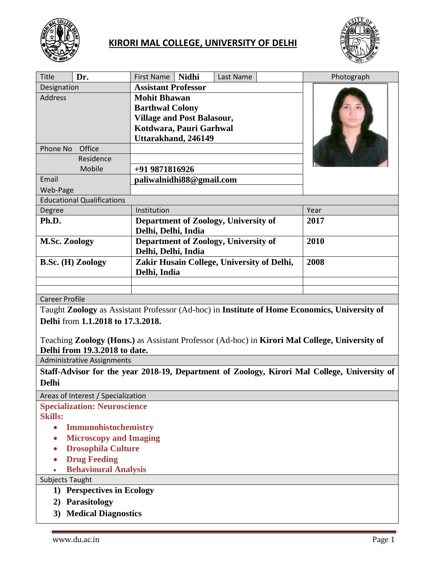

## **KIRORI MAL COLLEGE, UNIVERSITY OF DELHI**



| <b>Title</b>                                                                                                                           | Dr. | First Name                                 | <b>Nidhi</b> | Last Name                            |      | Photograph |
|----------------------------------------------------------------------------------------------------------------------------------------|-----|--------------------------------------------|--------------|--------------------------------------|------|------------|
| Designation                                                                                                                            |     | <b>Assistant Professor</b>                 |              |                                      |      |            |
| <b>Address</b>                                                                                                                         |     | <b>Mohit Bhawan</b>                        |              |                                      |      |            |
|                                                                                                                                        |     | <b>Barthwal Colony</b>                     |              |                                      |      |            |
|                                                                                                                                        |     | <b>Village and Post Balasour,</b>          |              |                                      |      |            |
|                                                                                                                                        |     | Kotdwara, Pauri Garhwal                    |              |                                      |      |            |
|                                                                                                                                        |     | Uttarakhand, 246149                        |              |                                      |      |            |
| Office<br>Phone No                                                                                                                     |     |                                            |              |                                      |      |            |
| Residence                                                                                                                              |     |                                            |              |                                      |      |            |
| Mobile                                                                                                                                 |     | +91 9871816926                             |              |                                      |      |            |
| Email                                                                                                                                  |     | paliwalnidhi88@gmail.com                   |              |                                      |      |            |
| Web-Page                                                                                                                               |     |                                            |              |                                      |      |            |
| <b>Educational Qualifications</b>                                                                                                      |     |                                            |              |                                      |      |            |
| Degree                                                                                                                                 |     | Institution                                |              |                                      |      | Year       |
| Ph.D.                                                                                                                                  |     | Department of Zoology, University of       |              |                                      | 2017 |            |
|                                                                                                                                        |     | Delhi, Delhi, India                        |              |                                      |      |            |
| <b>M.Sc. Zoology</b>                                                                                                                   |     |                                            |              | Department of Zoology, University of |      | 2010       |
|                                                                                                                                        |     | Delhi, Delhi, India                        |              |                                      |      |            |
| <b>B.Sc. (H) Zoology</b>                                                                                                               |     | Zakir Husain College, University of Delhi, |              |                                      | 2008 |            |
|                                                                                                                                        |     | Delhi, India                               |              |                                      |      |            |
|                                                                                                                                        |     |                                            |              |                                      |      |            |
|                                                                                                                                        |     |                                            |              |                                      |      |            |
| <b>Career Profile</b><br>$T_{\alpha\nu\alpha}$ Legislavy as Assistant Drofessor (Ad hoo) in Institute of Hame Economics, University of |     |                                            |              |                                      |      |            |

Taught **Zoology** as Assistant Professor (Ad-hoc) in **Institute of Home Economics, University of Delhi** from **1.1.2018 to 17.3.2018.**

Teaching **Zoology (Hons.)** as Assistant Professor (Ad-hoc) in **Kirori Mal College, University of Delhi from 19.3.2018 to date.**

Administrative Assignments

**Staff-Advisor for the year 2018-19, Department of Zoology, Kirori Mal College, University of Delhi**

Areas of Interest / Specialization

**Specialization: Neuroscience**

**Skills:**

- **Immunohistochemistry**
- **Microscopy and Imaging**
- **Drosophila Culture**
- **Drug Feeding**
- **Behavioural Analysis**

Subjects Taught

- **1) Perspectives in Ecology**
- **2) Parasitology**
- **3) Medical Diagnostics**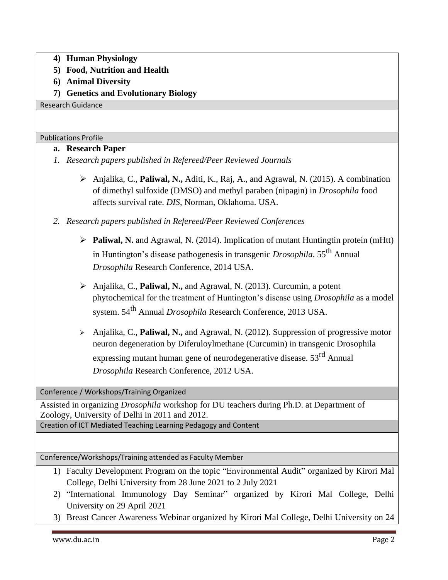- **4) Human Physiology**
- **5) Food, Nutrition and Health**
- **6) Animal Diversity**
- **7) Genetics and Evolutionary Biology**

Research Guidance

Publications Profile

## **a. Research Paper**

- *1. Research papers published in Refereed/Peer Reviewed Journals*
	- ➢ Anjalika, C., **Paliwal, N.,** Aditi, K., Raj, A., and Agrawal, N. (2015). A combination of dimethyl sulfoxide (DMSO) and methyl paraben (nipagin) in *Drosophila* food affects survival rate. *DIS*, Norman, Oklahoma. USA.
- *2. Research papers published in Refereed/Peer Reviewed Conferences*
	- ➢ **Paliwal, N.** and Agrawal, N. (2014). Implication of mutant Huntingtin protein (mHtt) in Huntington's disease pathogenesis in transgenic *Drosophila*. 55th Annual *Drosophila* Research Conference, 2014 USA.
	- ➢ Anjalika, C., **Paliwal, N.,** and Agrawal, N. (2013). Curcumin, a potent phytochemical for the treatment of Huntington's disease using *Drosophila* as a model system. 54th Annual *Drosophila* Research Conference, 2013 USA.
	- ➢ Anjalika, C., **Paliwal, N.,** and Agrawal, N. (2012). Suppression of progressive motor neuron degeneration by Diferuloylmethane (Curcumin) in transgenic Drosophila expressing mutant human gene of neurodegenerative disease. 53rd Annual *Drosophila* Research Conference, 2012 USA.

Conference / Workshops/Training Organized

Assisted in organizing *Drosophila* workshop for DU teachers during Ph.D. at Department of Zoology, University of Delhi in 2011 and 2012.

Creation of ICT Mediated Teaching Learning Pedagogy and Content

Conference/Workshops/Training attended as Faculty Member

- 1) Faculty Development Program on the topic "Environmental Audit" organized by Kirori Mal College, Delhi University from 28 June 2021 to 2 July 2021
- 2) "International Immunology Day Seminar" organized by Kirori Mal College, Delhi University on 29 April 2021
- 3) Breast Cancer Awareness Webinar organized by Kirori Mal College, Delhi University on 24